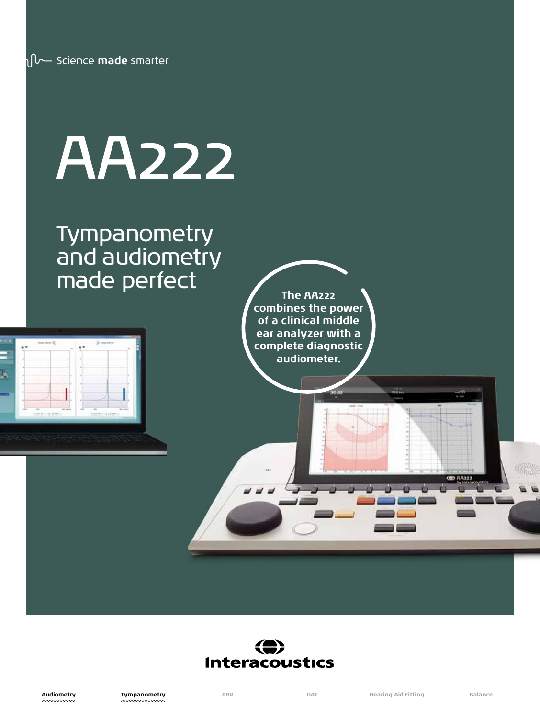# AA222

### Tympanometry and audiometry made perfect



**The AA222 combines the power of a clinical middle ear analyzer with a complete diagnostic audiometer.** 

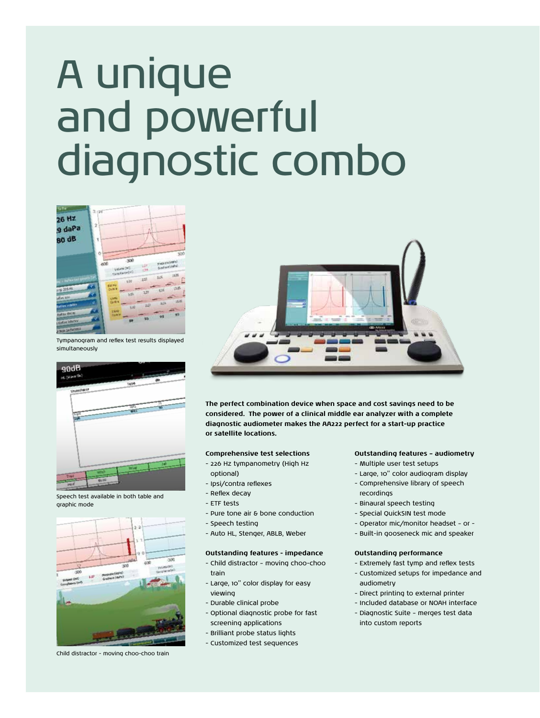## A unique and powerful diagnostic combo



Tympanogram and reflex test results displayed simultaneously



Speech test available in both table and graphic mode



Child distractor - moving choo-choo train



**The perfect combination device when space and cost savings need to be considered. The power of a clinical middle ear analyzer with a complete diagnostic audiometer makes the AA222 perfect for a start-up practice or satellite locations.**

#### **Comprehensive test selections**

- 226 Hz tympanometry (High Hz
- optional) - Ipsi/contra reflexes
- 
- Reflex decay
- ETF tests
- Pure tone air & bone conduction
- Speech testing
- Auto HL, Stenger, ABLB, Weber

#### **Outstanding features - impedance**

- Child distractor moving choo-choo train
- Large, 10" color display for easy viewing
- Durable clinical probe
- Optional diagnostic probe for fast screening applications
- Brilliant probe status lights
- Customized test sequences

#### **Outstanding features – audiometry**

- Multiple user test setups
- Large, 10" color audiogram display
- Comprehensive library of speech recordings
- Binaural speech testing
- Special QuickSIN test mode
- Operator mic/monitor headset or -
- Built-in gooseneck mic and speaker

#### **Outstanding performance**

- Extremely fast tymp and reflex tests
- Customized setups for impedance and audiometry
- Direct printing to external printer
- Included database or NOAH interface
- Diagnostic Suite merges test data into custom reports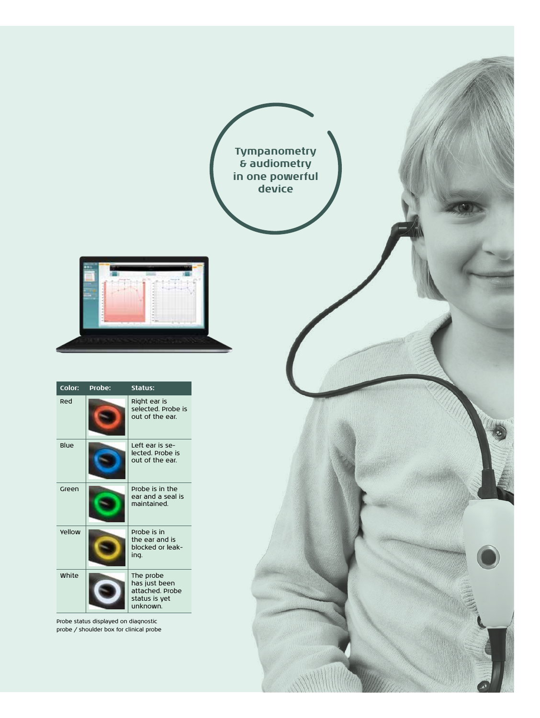